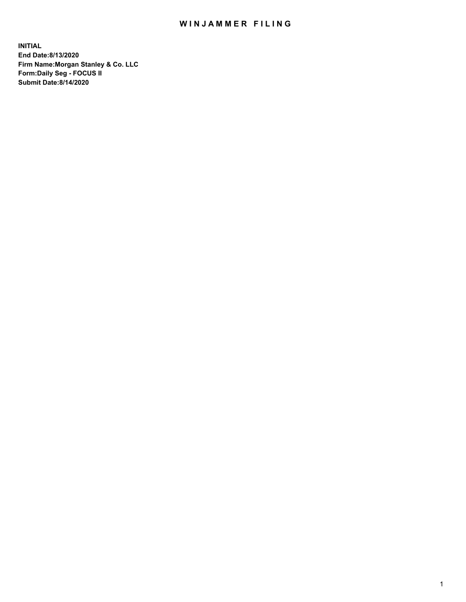## WIN JAMMER FILING

**INITIAL End Date:8/13/2020 Firm Name:Morgan Stanley & Co. LLC Form:Daily Seg - FOCUS II Submit Date:8/14/2020**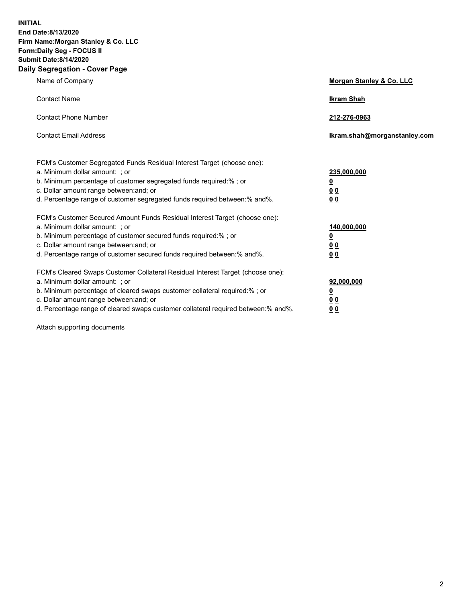**INITIAL End Date:8/13/2020 Firm Name:Morgan Stanley & Co. LLC Form:Daily Seg - FOCUS II Submit Date:8/14/2020 Daily Segregation - Cover Page**

| Name of Company                                                                                          | Morgan Stanley & Co. LLC     |
|----------------------------------------------------------------------------------------------------------|------------------------------|
| <b>Contact Name</b>                                                                                      | <b>Ikram Shah</b>            |
| <b>Contact Phone Number</b>                                                                              | 212-276-0963                 |
| <b>Contact Email Address</b>                                                                             | Ikram.shah@morganstanley.com |
|                                                                                                          |                              |
| FCM's Customer Segregated Funds Residual Interest Target (choose one):<br>a. Minimum dollar amount: ; or | 235,000,000                  |
| b. Minimum percentage of customer segregated funds required:% ; or                                       | <u>0</u>                     |
| c. Dollar amount range between: and; or                                                                  | <u>00</u>                    |
| d. Percentage range of customer segregated funds required between: % and %.                              | 0 <sup>0</sup>               |
| FCM's Customer Secured Amount Funds Residual Interest Target (choose one):                               |                              |
| a. Minimum dollar amount: ; or                                                                           | 140,000,000                  |
| b. Minimum percentage of customer secured funds required:%; or                                           | <u>0</u>                     |
| c. Dollar amount range between: and; or                                                                  | <u>0 0</u>                   |
| d. Percentage range of customer secured funds required between:% and%.                                   | 0 Q                          |
| FCM's Cleared Swaps Customer Collateral Residual Interest Target (choose one):                           |                              |
| a. Minimum dollar amount: ; or                                                                           | 92,000,000                   |
| b. Minimum percentage of cleared swaps customer collateral required:% ; or                               | <u>0</u>                     |
| c. Dollar amount range between: and; or                                                                  | 0 Q                          |
| d. Percentage range of cleared swaps customer collateral required between:% and%.                        | 0 <sub>0</sub>               |

Attach supporting documents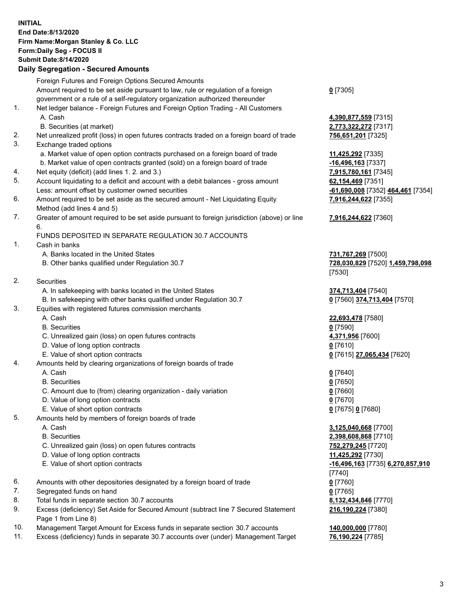## **INITIAL End Date:8/13/2020 Firm Name:Morgan Stanley & Co. LLC Form:Daily Seg - FOCUS II Submit Date:8/14/2020**

## **Daily Segregation - Secured Amounts**

|     | Foreign Futures and Foreign Options Secured Amounts                                                        |                                   |
|-----|------------------------------------------------------------------------------------------------------------|-----------------------------------|
|     | Amount required to be set aside pursuant to law, rule or regulation of a foreign                           | $0$ [7305]                        |
|     | government or a rule of a self-regulatory organization authorized thereunder                               |                                   |
| 1.  | Net ledger balance - Foreign Futures and Foreign Option Trading - All Customers                            |                                   |
|     | A. Cash                                                                                                    | 4,390,877,559 [7315]              |
|     | B. Securities (at market)                                                                                  | 2,773,322,272 [7317]              |
| 2.  | Net unrealized profit (loss) in open futures contracts traded on a foreign board of trade                  | 756,651,201 [7325]                |
| 3.  | Exchange traded options                                                                                    |                                   |
|     | a. Market value of open option contracts purchased on a foreign board of trade                             | 11,425,292 [7335]                 |
|     | b. Market value of open contracts granted (sold) on a foreign board of trade                               | $-16,496,163$ [7337]              |
| 4.  | Net equity (deficit) (add lines 1. 2. and 3.)                                                              | 7,915,780,161 [7345]              |
| 5.  | Account liquidating to a deficit and account with a debit balances - gross amount                          | 62,154,469 [7351]                 |
|     | Less: amount offset by customer owned securities                                                           | -61,690,008 [7352] 464,461 [7354] |
| 6.  | Amount required to be set aside as the secured amount - Net Liquidating Equity                             | 7,916,244,622 [7355]              |
|     | Method (add lines 4 and 5)                                                                                 |                                   |
| 7.  | Greater of amount required to be set aside pursuant to foreign jurisdiction (above) or line                | 7,916,244,622 [7360]              |
|     | 6.                                                                                                         |                                   |
|     | FUNDS DEPOSITED IN SEPARATE REGULATION 30.7 ACCOUNTS                                                       |                                   |
| 1.  | Cash in banks                                                                                              |                                   |
|     | A. Banks located in the United States                                                                      | 731,767,269 [7500]                |
|     | B. Other banks qualified under Regulation 30.7                                                             | 728,030,829 [7520] 1,459,798,098  |
|     |                                                                                                            | [7530]                            |
| 2.  | <b>Securities</b>                                                                                          |                                   |
|     | A. In safekeeping with banks located in the United States                                                  | 374,713,404 [7540]                |
|     | B. In safekeeping with other banks qualified under Regulation 30.7                                         | 0 [7560] 374,713,404 [7570]       |
| 3.  | Equities with registered futures commission merchants                                                      |                                   |
|     | A. Cash                                                                                                    | 22,693,478 [7580]                 |
|     | <b>B.</b> Securities                                                                                       | $0$ [7590]                        |
|     | C. Unrealized gain (loss) on open futures contracts                                                        | 4,371,956 [7600]                  |
|     | D. Value of long option contracts                                                                          | <u>0</u> [7610]                   |
|     | E. Value of short option contracts                                                                         | 0 [7615] 27,065,434 [7620]        |
| 4.  | Amounts held by clearing organizations of foreign boards of trade                                          |                                   |
|     | A. Cash                                                                                                    | $0$ [7640]                        |
|     | <b>B.</b> Securities                                                                                       | $0$ [7650]                        |
|     | C. Amount due to (from) clearing organization - daily variation                                            | $0$ [7660]                        |
|     | D. Value of long option contracts                                                                          | $0$ [7670]                        |
|     | E. Value of short option contracts                                                                         | 0 [7675] 0 [7680]                 |
| 5.  | Amounts held by members of foreign boards of trade                                                         |                                   |
|     | A. Cash                                                                                                    | 3,125,040,668 [7700]              |
|     | <b>B.</b> Securities                                                                                       | 2,398,608,868 [7710]              |
|     | C. Unrealized gain (loss) on open futures contracts                                                        | 752,279,245 [7720]                |
|     | D. Value of long option contracts                                                                          | 11,425,292 [7730]                 |
|     | E. Value of short option contracts                                                                         | -16,496,163 [7735] 6,270,857,910  |
|     |                                                                                                            | [7740]                            |
| 6.  | Amounts with other depositories designated by a foreign board of trade                                     | $0$ [7760]                        |
| 7.  | Segregated funds on hand                                                                                   | $0$ [7765]                        |
| 8.  | Total funds in separate section 30.7 accounts                                                              | 8,132,434,846 [7770]              |
| 9.  | Excess (deficiency) Set Aside for Secured Amount (subtract line 7 Secured Statement<br>Page 1 from Line 8) | 216,190,224 [7380]                |
| 10. | Management Target Amount for Excess funds in separate section 30.7 accounts                                | 140,000,000 [7780]                |

11. Excess (deficiency) funds in separate 30.7 accounts over (under) Management Target **76,190,224** [7785]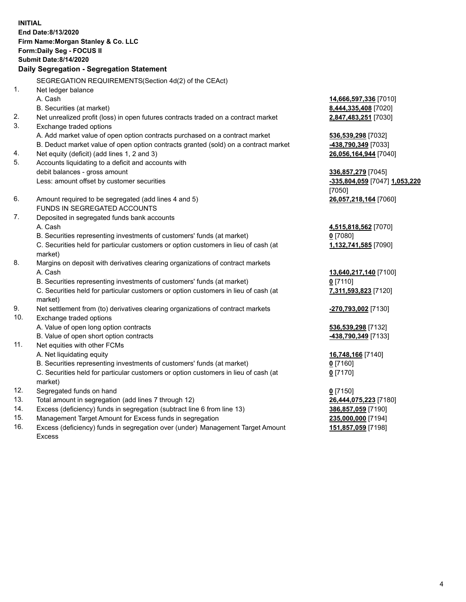**INITIAL End Date:8/13/2020 Firm Name:Morgan Stanley & Co. LLC Form:Daily Seg - FOCUS II Submit Date:8/14/2020 Daily Segregation - Segregation Statement** SEGREGATION REQUIREMENTS(Section 4d(2) of the CEAct) 1. Net ledger balance A. Cash **14,666,597,336** [7010] B. Securities (at market) **8,444,335,408** [7020] 2. Net unrealized profit (loss) in open futures contracts traded on a contract market **2,847,483,251** [7030] 3. Exchange traded options A. Add market value of open option contracts purchased on a contract market **536,539,298** [7032] B. Deduct market value of open option contracts granted (sold) on a contract market **-438,790,349** [7033] 4. Net equity (deficit) (add lines 1, 2 and 3) **26,056,164,944** [7040] 5. Accounts liquidating to a deficit and accounts with debit balances - gross amount **336,857,279** [7045] Less: amount offset by customer securities **-335,804,059** [7047] **1,053,220** [7050] 6. Amount required to be segregated (add lines 4 and 5) **26,057,218,164** [7060] FUNDS IN SEGREGATED ACCOUNTS 7. Deposited in segregated funds bank accounts A. Cash **4,515,818,562** [7070] B. Securities representing investments of customers' funds (at market) **0** [7080] C. Securities held for particular customers or option customers in lieu of cash (at market) **1,132,741,585** [7090] 8. Margins on deposit with derivatives clearing organizations of contract markets A. Cash **13,640,217,140** [7100] B. Securities representing investments of customers' funds (at market) **0** [7110] C. Securities held for particular customers or option customers in lieu of cash (at market) **7,311,593,823** [7120] 9. Net settlement from (to) derivatives clearing organizations of contract markets **-270,793,002** [7130] 10. Exchange traded options A. Value of open long option contracts **536,539,298** [7132] B. Value of open short option contracts **-438,790,349** [7133] 11. Net equities with other FCMs A. Net liquidating equity **16,748,166** [7140] B. Securities representing investments of customers' funds (at market) **0** [7160] C. Securities held for particular customers or option customers in lieu of cash (at market) **0** [7170] 12. Segregated funds on hand **0** [7150] 13. Total amount in segregation (add lines 7 through 12) **26,444,075,223** [7180] 14. Excess (deficiency) funds in segregation (subtract line 6 from line 13) **386,857,059** [7190] 15. Management Target Amount for Excess funds in segregation **235,000,000** [7194]

16. Excess (deficiency) funds in segregation over (under) Management Target Amount Excess

**151,857,059** [7198]